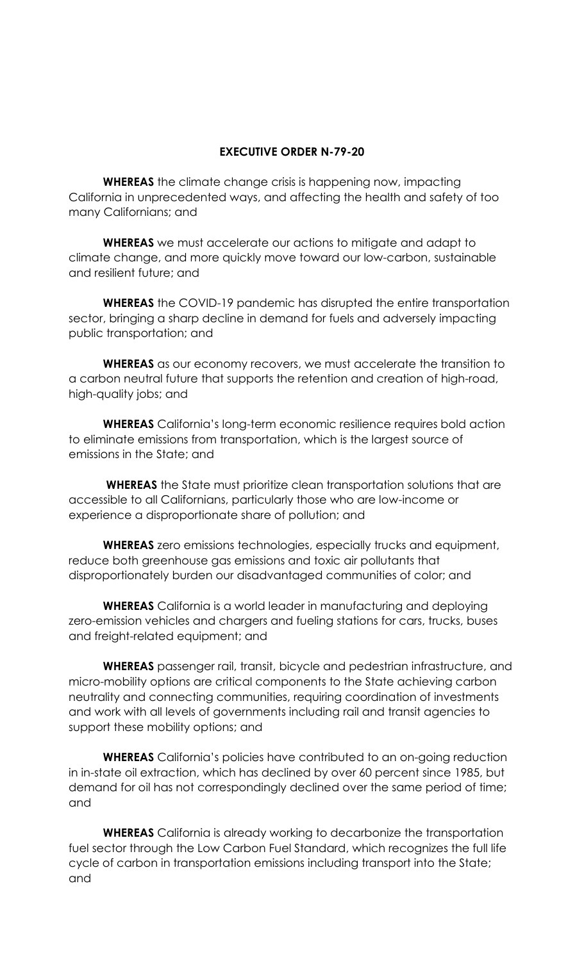## **EXECUTIVE ORDER N-79-20**

**WHEREAS** the climate change crisis is happening now, impacting California in unprecedented ways, and affecting the health and safety of too many Californians; and

**WHEREAS** we must accelerate our actions to mitigate and adapt to climate change, and more quickly move toward our low-carbon, sustainable and resilient future; and

**WHEREAS** the COVID-19 pandemic has disrupted the entire transportation sector, bringing a sharp decline in demand for fuels and adversely impacting public transportation; and

**WHEREAS** as our economy recovers, we must accelerate the transition to a carbon neutral future that supports the retention and creation of high-road, high-quality jobs; and

**WHEREAS** California's long-term economic resilience requires bold action to eliminate emissions from transportation, which is the largest source of emissions in the State; and

**WHEREAS** the State must prioritize clean transportation solutions that are accessible to all Californians, particularly those who are low-income or experience a disproportionate share of pollution; and

**WHEREAS** zero emissions technologies, especially trucks and equipment, reduce both greenhouse gas emissions and toxic air pollutants that disproportionately burden our disadvantaged communities of color; and

**WHEREAS** California is a world leader in manufacturing and deploying zero-emission vehicles and chargers and fueling stations for cars, trucks, buses and freight-related equipment; and

**WHEREAS** passenger rail, transit, bicycle and pedestrian infrastructure, and micro-mobility options are critical components to the State achieving carbon neutrality and connecting communities, requiring coordination of investments and work with all levels of governments including rail and transit agencies to support these mobility options; and

**WHEREAS** California's policies have contributed to an on-going reduction in in-state oil extraction, which has declined by over 60 percent since 1985, but demand for oil has not correspondingly declined over the same period of time; and

**WHEREAS** California is already working to decarbonize the transportation fuel sector through the Low Carbon Fuel Standard, which recognizes the full life cycle of carbon in transportation emissions including transport into the State; and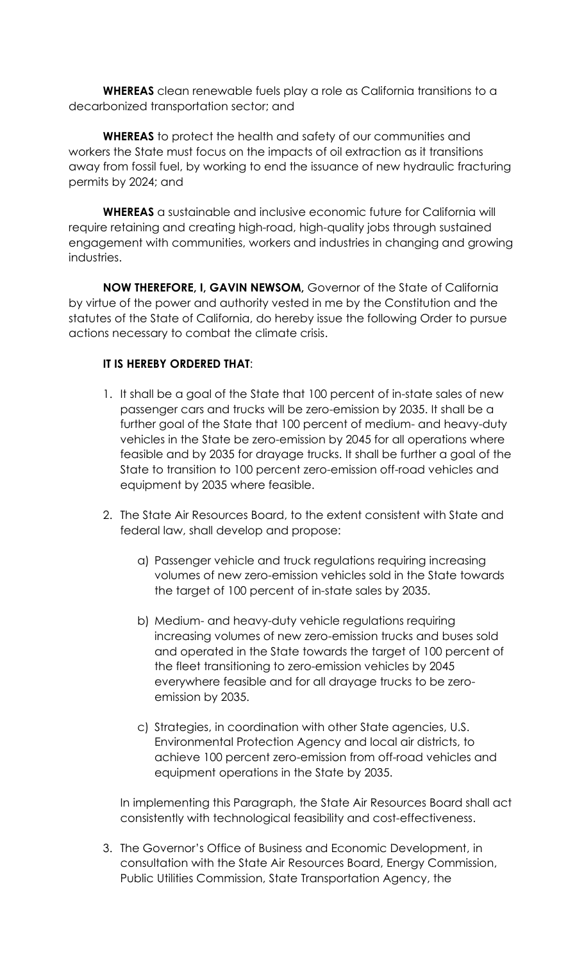**WHEREAS** clean renewable fuels play a role as California transitions to a decarbonized transportation sector; and

**WHEREAS** to protect the health and safety of our communities and workers the State must focus on the impacts of oil extraction as it transitions away from fossil fuel, by working to end the issuance of new hydraulic fracturing permits by 2024; and

**WHEREAS** a sustainable and inclusive economic future for California will require retaining and creating high-road, high-quality jobs through sustained engagement with communities, workers and industries in changing and growing industries.

**NOW THEREFORE, I, GAVIN NEWSOM,** Governor of the State of California by virtue of the power and authority vested in me by the Constitution and the statutes of the State of California, do hereby issue the following Order to pursue actions necessary to combat the climate crisis.

## **IT IS HEREBY ORDERED THAT**:

- 1. It shall be a goal of the State that 100 percent of in-state sales of new passenger cars and trucks will be zero-emission by 2035. It shall be a further goal of the State that 100 percent of medium- and heavy-duty vehicles in the State be zero-emission by 2045 for all operations where feasible and by 2035 for drayage trucks. It shall be further a goal of the State to transition to 100 percent zero-emission off-road vehicles and equipment by 2035 where feasible.
- 2. The State Air Resources Board, to the extent consistent with State and federal law, shall develop and propose:
	- a) Passenger vehicle and truck regulations requiring increasing volumes of new zero-emission vehicles sold in the State towards the target of 100 percent of in-state sales by 2035.
	- b) Medium- and heavy-duty vehicle regulations requiring increasing volumes of new zero-emission trucks and buses sold and operated in the State towards the target of 100 percent of the fleet transitioning to zero-emission vehicles by 2045 everywhere feasible and for all drayage trucks to be zeroemission by 2035.
	- c) Strategies, in coordination with other State agencies, U.S. Environmental Protection Agency and local air districts, to achieve 100 percent zero-emission from off-road vehicles and equipment operations in the State by 2035.

In implementing this Paragraph, the State Air Resources Board shall act consistently with technological feasibility and cost-effectiveness.

3. The Governor's Office of Business and Economic Development, in consultation with the State Air Resources Board, Energy Commission, Public Utilities Commission, State Transportation Agency, the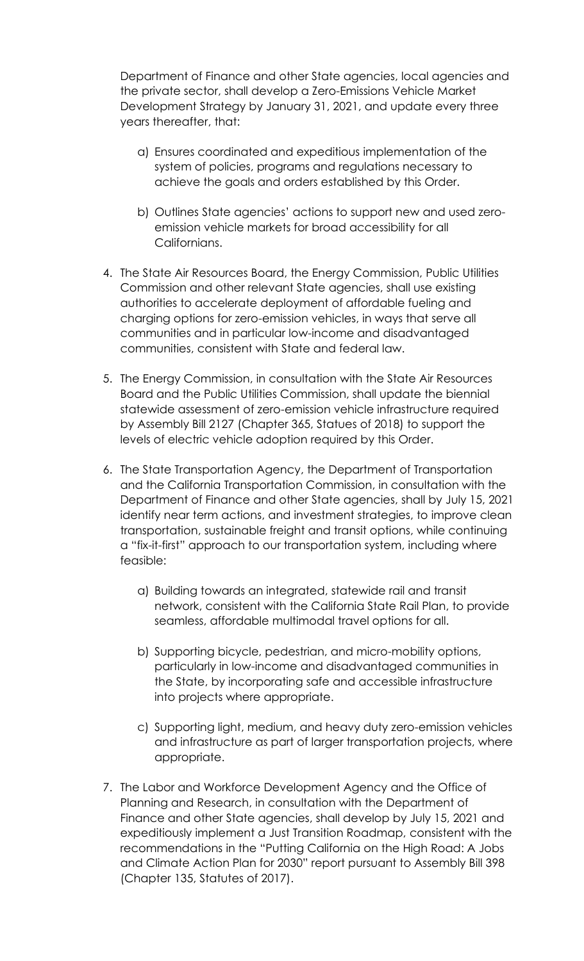Department of Finance and other State agencies, local agencies and the private sector, shall develop a Zero-Emissions Vehicle Market Development Strategy by January 31, 2021, and update every three years thereafter, that:

- a) Ensures coordinated and expeditious implementation of the system of policies, programs and regulations necessary to achieve the goals and orders established by this Order.
- b) Outlines State agencies' actions to support new and used zeroemission vehicle markets for broad accessibility for all Californians.
- 4. The State Air Resources Board, the Energy Commission, Public Utilities Commission and other relevant State agencies, shall use existing authorities to accelerate deployment of affordable fueling and charging options for zero-emission vehicles, in ways that serve all communities and in particular low-income and disadvantaged communities, consistent with State and federal law.
- 5. The Energy Commission, in consultation with the State Air Resources Board and the Public Utilities Commission, shall update the biennial statewide assessment of zero-emission vehicle infrastructure required by Assembly Bill 2127 (Chapter 365, Statues of 2018) to support the levels of electric vehicle adoption required by this Order.
- 6. The State Transportation Agency, the Department of Transportation and the California Transportation Commission, in consultation with the Department of Finance and other State agencies, shall by July 15, 2021 identify near term actions, and investment strategies, to improve clean transportation, sustainable freight and transit options, while continuing a "fix-it-first" approach to our transportation system, including where feasible:
	- a) Building towards an integrated, statewide rail and transit network, consistent with the California State Rail Plan, to provide seamless, affordable multimodal travel options for all.
	- b) Supporting bicycle, pedestrian, and micro-mobility options, particularly in low-income and disadvantaged communities in the State, by incorporating safe and accessible infrastructure into projects where appropriate.
	- c) Supporting light, medium, and heavy duty zero-emission vehicles and infrastructure as part of larger transportation projects, where appropriate.
- 7. The Labor and Workforce Development Agency and the Office of Planning and Research, in consultation with the Department of Finance and other State agencies, shall develop by July 15, 2021 and expeditiously implement a Just Transition Roadmap, consistent with the recommendations in the "Putting California on the High Road: A Jobs and Climate Action Plan for 2030" report pursuant to Assembly Bill 398 (Chapter 135, Statutes of 2017).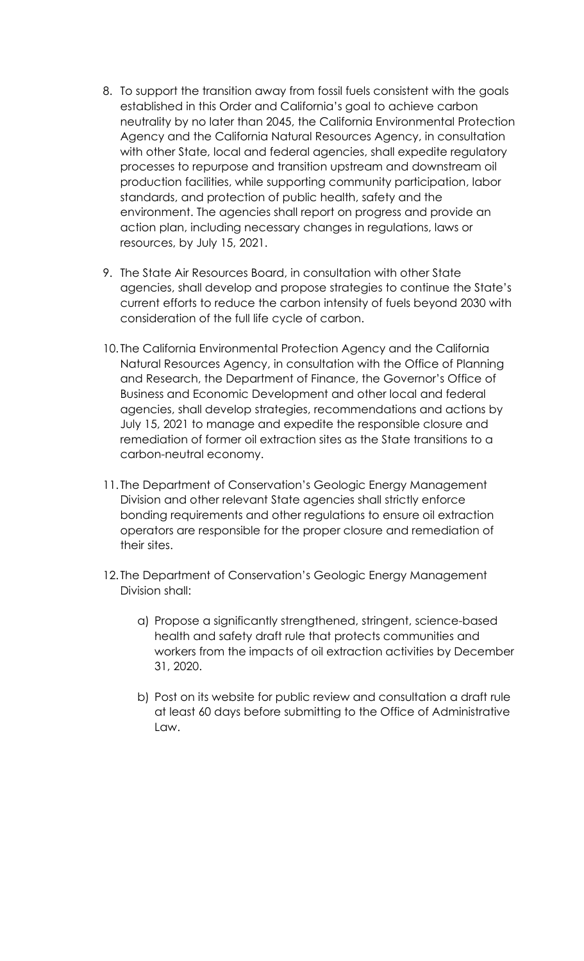- 8. To support the transition away from fossil fuels consistent with the goals established in this Order and California's goal to achieve carbon neutrality by no later than 2045, the California Environmental Protection Agency and the California Natural Resources Agency, in consultation with other State, local and federal agencies, shall expedite regulatory processes to repurpose and transition upstream and downstream oil production facilities, while supporting community participation, labor standards, and protection of public health, safety and the environment. The agencies shall report on progress and provide an action plan, including necessary changes in regulations, laws or resources, by July 15, 2021.
- 9. The State Air Resources Board, in consultation with other State agencies, shall develop and propose strategies to continue the State's current efforts to reduce the carbon intensity of fuels beyond 2030 with consideration of the full life cycle of carbon.
- 10. The California Environmental Protection Agency and the California Natural Resources Agency, in consultation with the Office of Planning and Research, the Department of Finance, the Governor's Office of Business and Economic Development and other local and federal agencies, shall develop strategies, recommendations and actions by July 15, 2021 to manage and expedite the responsible closure and remediation of former oil extraction sites as the State transitions to a carbon-neutral economy.
- 11. The Department of Conservation's Geologic Energy Management Division and other relevant State agencies shall strictly enforce bonding requirements and other regulations to ensure oil extraction operators are responsible for the proper closure and remediation of their sites.
- 12. The Department of Conservation's Geologic Energy Management Division shall:
	- a) Propose a significantly strengthened, stringent, science-based health and safety draft rule that protects communities and workers from the impacts of oil extraction activities by December 31, 2020.
	- b) Post on its website for public review and consultation a draft rule at least 60 days before submitting to the Office of Administrative Law.